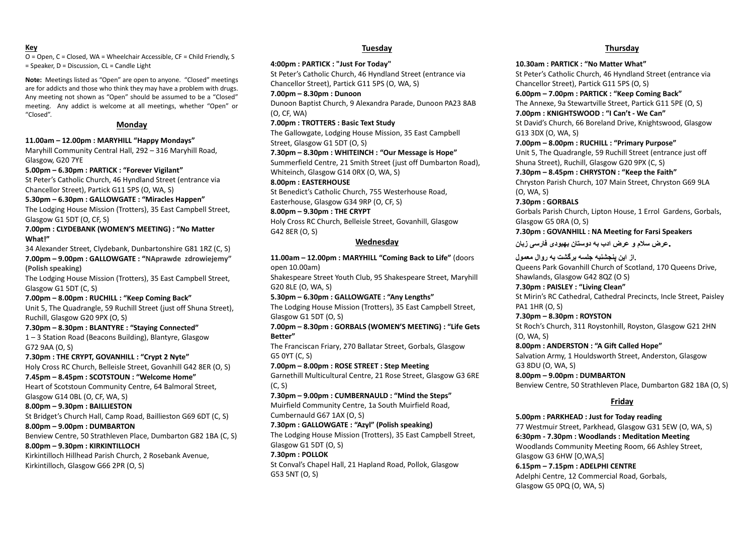#### **Key**

O = Open, C = Closed, WA = Wheelchair Accessible, CF = Child Friendly, S = Speaker, D = Discussion, CL = Candle Light

**Note:** Meetings listed as "Open" are open to anyone. "Closed" meetings are for addicts and those who think they may have a problem with drugs. Any meeting not shown as "Open" should be assumed to be a "Closed" meeting. Any addict is welcome at all meetings, whether "Open" or "Closed".

#### **Monday**

**11.00am – 12.00pm : MARYHILL "Happy Mondays"** Maryhill Community Central Hall, 292 – 316 Maryhill Road,

Glasgow, G20 7YE

**5.00pm – 6.30pm : PARTICK : "Forever Vigilant"** St Peter's Catholic Church, 46 Hyndland Street (entrance via

Chancellor Street), Partick G11 5PS (O, WA, S)

#### **5.30pm – 6.30pm : GALLOWGATE : "Miracles Happen"**

The Lodging House Mission (Trotters), 35 East Campbell Street, Glasgow G1 5DT (O, CF, S)

#### **7.00pm : CLYDEBANK (WOMEN'S MEETING) : "No Matter What!"**

34 Alexander Street, Clydebank, Dunbartonshire G81 1RZ (C, S) **7.00pm – 9.00pm : GALLOWGATE : "NAprawde zdrowiejemy"** 

**(Polish speaking)**

The Lodging House Mission (Trotters), 35 East Campbell Street, Glasgow G1 5DT (C, S)

#### **7.00pm – 8.00pm : RUCHILL : "Keep Coming Back"**

Unit 5, The Quadrangle, 59 Ruchill Street (just off Shuna Street), Ruchill, Glasgow G20 9PX (O, S)

#### **7.30pm – 8.30pm : BLANTYRE : "Staying Connected"**

1 – 3 Station Road (Beacons Building), Blantyre, Glasgow G72 9AA (O, S)

**7.30pm : THE CRYPT, GOVANHILL : "Crypt 2 Nyte"**

Holy Cross RC Church, Belleisle Street, Govanhill G42 8ER (O, S)

## **7.45pm – 8.45pm : SCOTSTOUN : "Welcome Home"**

Heart of Scotstoun Community Centre, 64 Balmoral Street, Glasgow G14 0BL (O, CF, WA, S)

#### **8.00pm – 9.30pm : BAILLIESTON**

St Bridget's Church Hall, Camp Road, Baillieston G69 6DT (C, S)

#### **8.00pm – 9.00pm : DUMBARTON**

Benview Centre, 50 Strathleven Place, Dumbarton G82 1BA (C, S) **8.00pm – 9.30pm : KIRKINTILLOCH**

Kirkintilloch Hillhead Parish Church, 2 Rosebank Avenue, Kirkintilloch, Glasgow G66 2PR (O, S)

## **Tuesday**

#### **4:00pm : PARTICK : "Just For Today"**

St Peter's Catholic Church, 46 Hyndland Street (entrance via Chancellor Street), Partick G11 5PS (O, WA, S)

#### **7.00pm – 8.30pm : Dunoon**

Dunoon Baptist Church, 9 Alexandra Parade, Dunoon PA23 8AB (O, CF, WA)

**7.00pm : TROTTERS : Basic Text Study**

The Gallowgate, Lodging House Mission, 35 East Campbell Street, Glasgow G1 5DT (O, S)

## **7.30pm – 8.30pm : WHITEINCH : "Our Message is Hope"**

Summerfield Centre, 21 Smith Street (just off Dumbarton Road), Whiteinch, Glasgow G14 0RX (O, WA, S)

## **8.00pm : EASTERHOUSE**

St Benedict's Catholic Church, 755 Westerhouse Road, Easterhouse, Glasgow G34 9RP (O, CF, S)

#### **8.00pm – 9.30pm : THE CRYPT**

Holy Cross RC Church, Belleisle Street, Govanhill, Glasgow G42 8ER (O, S)

#### **Wednesday**

**11.00am – 12.00pm : MARYHILL "Coming Back to Life"** (doors open 10.00am)

Shakespeare Street Youth Club, 95 Shakespeare Street, Maryhill G20 8LE (O, WA, S)

**5.30pm – 6.30pm : GALLOWGATE : "Any Lengths"** The Lodging House Mission (Trotters), 35 East Campbell Street, Glasgow G1 5DT (O, S)

**7.00pm – 8.30pm : GORBALS (WOMEN'S MEETING) : "Life Gets Better"**

The Franciscan Friary, 270 Ballatar Street, Gorbals, Glasgow G5 0YT (C, S)

**7.00pm – 8.00pm : ROSE STREET : Step Meeting** Garnethill Multicultural Centre, 21 Rose Street, Glasgow G3 6RE

(C, S)

**7.30pm – 9.00pm : CUMBERNAULD : "Mind the Steps"**

Muirfield Community Centre, 1a South Muirfield Road, Cumbernauld G67 1AX (O, S)

#### **7.30pm : GALLOWGATE : "Azyl" (Polish speaking)**

The Lodging House Mission (Trotters), 35 East Campbell Street, Glasgow G1 5DT (O, S)

#### **7.30pm : POLLOK**

St Conval's Chapel Hall, 21 Hapland Road, Pollok, Glasgow G53 5NT (O, S)

#### **Thursday**

**10.30am : PARTICK : "No Matter What"**

St Peter's Catholic Church, 46 Hyndland Street (entrance via Chancellor Street), Partick G11 5PS (O, S)

**6.00pm – 7.00pm : PARTICK : "Keep Coming Back"**

The Annexe, 9a Stewartville Street, Partick G11 5PE (O, S) **7.00pm : KNIGHTSWOOD : "I Can't - We Can"**

St David's Church, 66 Boreland Drive, Knightswood, Glasgow G13 3DX (O, WA, S)

#### **7.00pm – 8.00pm : RUCHILL : "Primary Purpose"**

Unit 5, The Quadrangle, 59 Ruchill Street (entrance just off Shuna Street), Ruchill, Glasgow G20 9PX (C, S)

#### **7.30pm – 8.45pm : CHRYSTON : "Keep the Faith"** Chryston Parish Church, 107 Main Street, Chryston G69 9LA

(O, WA, S)

## **7.30pm : GORBALS**

Gorbals Parish Church, Lipton House, 1 Errol Gardens, Gorbals, Glasgow G5 0RA (O, S)

#### **7.30pm : GOVANHILL : NA Meeting for Farsi Speakers**

**.عرض سالم و عرض ادب به دوستان بهبودی فارسی زبان** 

**.از این پنجشنبه جلسه برگشت به روال معمول**

Queens Park Govanhill Church of Scotland, 170 Queens Drive, Shawlands, Glasgow G42 8QZ (O S)

#### **7.30pm : PAISLEY : "Living Clean"**

St Mirin's RC Cathedral, Cathedral Precincts, Incle Street, Paisley PA1 1HR (O, S)

#### **7.30pm – 8.30pm : ROYSTON**

St Roch's Church, 311 Roystonhill, Royston, Glasgow G21 2HN (O, WA, S)

#### **8.00pm : ANDERSTON : "A Gift Called Hope"**

Salvation Army, 1 Houldsworth Street, Anderston, Glasgow G3 8DU (O, WA, S)

#### **8.00pm – 9.00pm : DUMBARTON** Benview Centre, 50 Strathleven Place, Dumbarton G82 1BA (O, S)

## **Friday**

**5.00pm : PARKHEAD : Just for Today reading** 77 Westmuir Street, Parkhead, Glasgow G31 5EW (O, WA, S) **6:30pm - 7.30pm : Woodlands : Meditation Meeting** Woodlands Community Meeting Room, 66 Ashley Street, Glasgow G3 [6HW](https://www.google.com/maps/place/Ashley+St,+Glasgow+G3+6HW/@55.8706931,-4.2745537,17z/data=!3m1!4b1!4m5!3m4!1s0x4888442e506823ab:0x57ac2d61b80d63da!8m2!3d55.8706397!4d-4.2724073) [O,WA,S] **6.15pm – 7.15pm : ADELPHI CENTRE** Adelphi Centre, 12 Commercial Road, Gorbals, Glasgow G5 0PQ (O, WA, S)